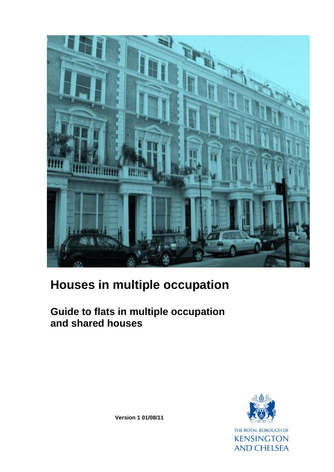

# **Houses in multiple occupation**

# **Guide to flats in multiple occupation and shared houses**



**Version 1 01/08/11**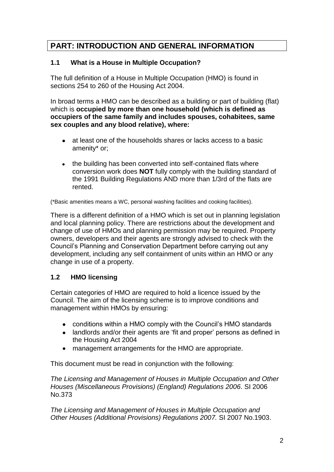# **PART: INTRODUCTION AND GENERAL INFORMATION**

# **1.1 What is a House in Multiple Occupation?**

The full definition of a House in Multiple Occupation (HMO) is found in sections 254 to 260 of the Housing Act 2004.

In broad terms a HMO can be described as a building or part of building (flat) which is **occupied by more than one household (which is defined as occupiers of the same family and includes spouses, cohabitees, same sex couples and any blood relative), where:**

- at least one of the households shares or lacks access to a basic amenity\* or;
- the building has been converted into self-contained flats where conversion work does **NOT** fully comply with the building standard of the 1991 Building Regulations AND more than 1/3rd of the flats are rented.

(\*Basic amenities means a WC, personal washing facilities and cooking facilities).

There is a different definition of a HMO which is set out in planning legislation and local planning policy. There are restrictions about the development and change of use of HMOs and planning permission may be required. Property owners, developers and their agents are strongly advised to check with the Council's Planning and Conservation Department before carrying out any development, including any self containment of units within an HMO or any change in use of a property.

# **1.2 HMO licensing**

Certain categories of HMO are required to hold a licence issued by the Council. The aim of the licensing scheme is to improve conditions and management within HMOs by ensuring:

- conditions within a HMO comply with the Council's HMO standards
- landlords and/or their agents are 'fit and proper' persons as defined in the Housing Act 2004
- management arrangements for the HMO are appropriate.

This document must be read in conjunction with the following:

*The Licensing and Management of Houses in Multiple Occupation and Other Houses (Miscellaneous Provisions) (England) Regulations 2006*. SI 2006 No.373

*The Licensing and Management of Houses in Multiple Occupation and Other Houses (Additional Provisions) Regulations 2007.* SI 2007 No.1903.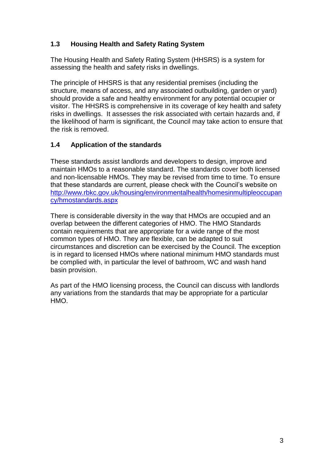# **1.3 Housing Health and Safety Rating System**

The Housing Health and Safety Rating System (HHSRS) is a system for assessing the health and safety risks in dwellings.

The principle of HHSRS is that any residential premises (including the structure, means of access, and any associated outbuilding, garden or yard) should provide a safe and healthy environment for any potential occupier or visitor. The HHSRS is comprehensive in its coverage of key health and safety risks in dwellings. It assesses the risk associated with certain hazards and, if the likelihood of harm is significant, the Council may take action to ensure that the risk is removed.

#### **1.4 Application of the standards**

These standards assist landlords and developers to design, improve and maintain HMOs to a reasonable standard. The standards cover both licensed and non-licensable HMOs. They may be revised from time to time. To ensure that these standards are current, please check with the Council's website on [http://www.rbkc.gov.uk/housing/environmentalhealth/homesinmultipleoccupan](http://www.rbkc.gov.uk/housing/environmentalhealth/homesinmultipleoccupancy/hmostandards.aspx) [cy/hmostandards.aspx](http://www.rbkc.gov.uk/housing/environmentalhealth/homesinmultipleoccupancy/hmostandards.aspx)

There is considerable diversity in the way that HMOs are occupied and an overlap between the different categories of HMO. The HMO Standards contain requirements that are appropriate for a wide range of the most common types of HMO. They are flexible, can be adapted to suit circumstances and discretion can be exercised by the Council. The exception is in regard to licensed HMOs where national minimum HMO standards must be complied with, in particular the level of bathroom, WC and wash hand basin provision.

As part of the HMO licensing process, the Council can discuss with landlords any variations from the standards that may be appropriate for a particular HMO.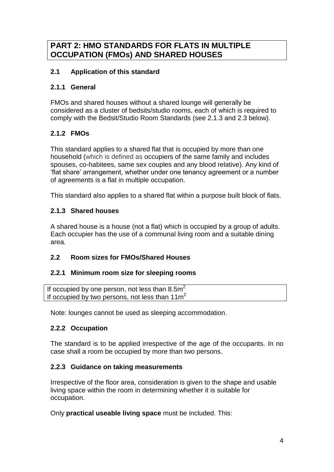# **PART 2: HMO STANDARDS FOR FLATS IN MULTIPLE OCCUPATION (FMOs) AND SHARED HOUSES**

# **2.1 Application of this standard**

#### **2.1.1 General**

FMOs and shared houses without a shared lounge will generally be considered as a cluster of bedsits/studio rooms, each of which is required to comply with the Bedsit/Studio Room Standards (see 2.1.3 and 2.3 below).

# **2.1.2 FMOs**

This standard applies to a shared flat that is occupied by more than one household (which is defined as occupiers of the same family and includes spouses, co-habitees, same sex couples and any blood relative). Any kind of 'flat share' arrangement, whether under one tenancy agreement or a number of agreements is a flat in multiple occupation.

This standard also applies to a shared flat within a purpose built block of flats.

# **2.1.3 Shared houses**

A shared house is a house (not a flat) which is occupied by a group of adults. Each occupier has the use of a communal living room and a suitable dining area.

# **2.2 Room sizes for FMOs/Shared Houses**

#### **2.2.1 Minimum room size for sleeping rooms**

If occupied by one person, not less than  $8.5m<sup>2</sup>$ If occupied by two persons, not less than  $11m^2$ 

Note: lounges cannot be used as sleeping accommodation.

# **2.2.2 Occupation**

The standard is to be applied irrespective of the age of the occupants. In no case shall a room be occupied by more than two persons.

#### **2.2.3 Guidance on taking measurements**

Irrespective of the floor area, consideration is given to the shape and usable living space within the room in determining whether it is suitable for occupation.

Only **practical useable living space** must be included. This: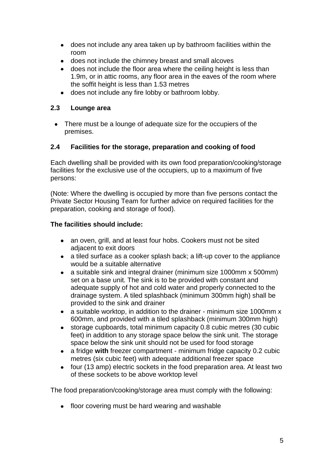- does not include any area taken up by bathroom facilities within the room
- does not include the chimney breast and small alcoves
- does not include the floor area where the ceiling height is less than 1.9m, or in attic rooms, any floor area in the eaves of the room where the soffit height is less than 1.53 metres
- does not include any fire lobby or bathroom lobby.  $\bullet$

# **2.3 Lounge area**

• There must be a lounge of adequate size for the occupiers of the premises.

# **2.4 Facilities for the storage, preparation and cooking of food**

Each dwelling shall be provided with its own food preparation/cooking/storage facilities for the exclusive use of the occupiers, up to a maximum of five persons:

(Note: Where the dwelling is occupied by more than five persons contact the Private Sector Housing Team for further advice on required facilities for the preparation, cooking and storage of food).

#### **The facilities should include:**

- an oven, grill, and at least four hobs. Cookers must not be sited adjacent to exit doors
- a tiled surface as a cooker splash back; a lift-up cover to the appliance would be a suitable alternative
- $\bullet$ a suitable sink and integral drainer (minimum size 1000mm x 500mm) set on a base unit. The sink is to be provided with constant and adequate supply of hot and cold water and properly connected to the drainage system. A tiled splashback (minimum 300mm high) shall be provided to the sink and drainer
- a suitable worktop, in addition to the drainer minimum size 1000mm x 600mm, and provided with a tiled splashback (minimum 300mm high)
- $\bullet$ storage cupboards, total minimum capacity 0.8 cubic metres (30 cubic feet) in addition to any storage space below the sink unit. The storage space below the sink unit should not be used for food storage
- a fridge **with** freezer compartment minimum fridge capacity 0.2 cubic  $\bullet$ metres (six cubic feet) with adequate additional freezer space
- four (13 amp) electric sockets in the food preparation area. At least two  $\bullet$ of these sockets to be above worktop level

The food preparation/cooking/storage area must comply with the following:

• floor covering must be hard wearing and washable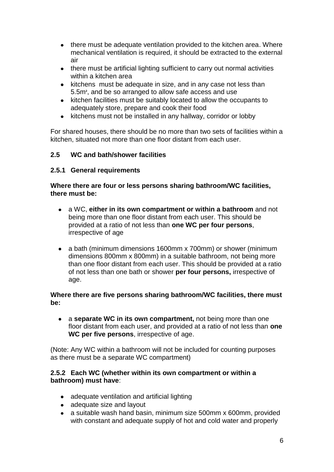- there must be adequate ventilation provided to the kitchen area. Where mechanical ventilation is required, it should be extracted to the external air
- there must be artificial lighting sufficient to carry out normal activities  $\bullet$ within a kitchen area
- kitchens must be adequate in size, and in any case not less than 5.5m**<sup>2</sup>** , and be so arranged to allow safe access and use
- kitchen facilities must be suitably located to allow the occupants to  $\bullet$ adequately store, prepare and cook their food
- kitchens must not be installed in any hallway, corridor or lobby  $\bullet$

For shared houses, there should be no more than two sets of facilities within a kitchen, situated not more than one floor distant from each user.

#### **2.5 WC and bath/shower facilities**

#### **2.5.1 General requirements**

#### **Where there are four or less persons sharing bathroom/WC facilities, there must be:**

- a WC, **either in its own compartment or within a bathroom** and not being more than one floor distant from each user. This should be provided at a ratio of not less than **one WC per four persons**, irrespective of age
- a bath (minimum dimensions 1600mm x 700mm) or shower (minimum dimensions 800mm x 800mm) in a suitable bathroom, not being more than one floor distant from each user. This should be provided at a ratio of not less than one bath or shower **per four persons,** irrespective of age.

#### **Where there are five persons sharing bathroom/WC facilities, there must be:**

a **separate WC in its own compartment,** not being more than one floor distant from each user, and provided at a ratio of not less than **one WC per five persons**, irrespective of age.

(Note: Any WC within a bathroom will not be included for counting purposes as there must be a separate WC compartment)

#### **2.5.2 Each WC (whether within its own compartment or within a bathroom) must have**:

- adequate ventilation and artificial lighting
- adequate size and layout
- a suitable wash hand basin, minimum size 500mm x 600mm, provided  $\bullet$ with constant and adequate supply of hot and cold water and properly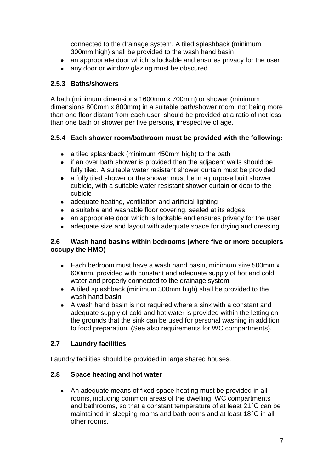connected to the drainage system. A tiled splashback (minimum 300mm high) shall be provided to the wash hand basin

- an appropriate door which is lockable and ensures privacy for the user  $\bullet$
- any door or window glazing must be obscured.  $\bullet$

# **2.5.3 Baths/showers**

A bath (minimum dimensions 1600mm x 700mm) or shower (minimum dimensions 800mm x 800mm) in a suitable bath/shower room, not being more than one floor distant from each user, should be provided at a ratio of not less than one bath or shower per five persons, irrespective of age.

# **2.5.4 Each shower room/bathroom must be provided with the following:**

- a tiled splashback (minimum 450mm high) to the bath
- if an over bath shower is provided then the adjacent walls should be fully tiled. A suitable water resistant shower curtain must be provided
- a fully tiled shower or the shower must be in a purpose built shower  $\bullet$ cubicle, with a suitable water resistant shower curtain or door to the cubicle
- adequate heating, ventilation and artificial lighting
- a suitable and washable floor covering, sealed at its edges
- an appropriate door which is lockable and ensures privacy for the user  $\bullet$
- adequate size and layout with adequate space for drying and dressing.

#### **2.6 Wash hand basins within bedrooms (where five or more occupiers occupy the HMO)**

- Each bedroom must have a wash hand basin, minimum size 500mm x  $\bullet$ 600mm, provided with constant and adequate supply of hot and cold water and properly connected to the drainage system.
- A tiled splashback (minimum 300mm high) shall be provided to the wash hand basin.
- A wash hand basin is not required where a sink with a constant and adequate supply of cold and hot water is provided within the letting on the grounds that the sink can be used for personal washing in addition to food preparation. (See also requirements for WC compartments).

# **2.7 Laundry facilities**

Laundry facilities should be provided in large shared houses.

# **2.8 Space heating and hot water**

An adequate means of fixed space heating must be provided in all rooms, including common areas of the dwelling, WC compartments and bathrooms, so that a constant temperature of at least 21°C can be maintained in sleeping rooms and bathrooms and at least 18°C in all other rooms.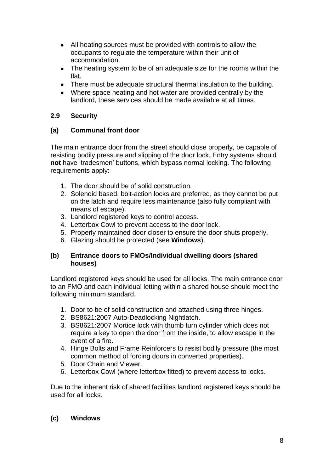- All heating sources must be provided with controls to allow the occupants to regulate the temperature within their unit of accommodation.
- The heating system to be of an adequate size for the rooms within the flat.
- There must be adequate structural thermal insulation to the building.
- Where space heating and hot water are provided centrally by the landlord, these services should be made available at all times.

# **2.9 Security**

# **(a) Communal front door**

The main entrance door from the street should close properly, be capable of resisting bodily pressure and slipping of the door lock. Entry systems should **not** have 'tradesmen' buttons, which bypass normal locking. The following requirements apply:

- 1. The door should be of solid construction.
- 2. Solenoid based, bolt-action locks are preferred, as they cannot be put on the latch and require less maintenance (also fully compliant with means of escape).
- 3. Landlord registered keys to control access.
- 4. Letterbox Cowl to prevent access to the door lock.
- 5. Properly maintained door closer to ensure the door shuts properly.
- 6. Glazing should be protected (see **Windows**).

#### **(b) Entrance doors to FMOs/Individual dwelling doors (shared houses)**

Landlord registered keys should be used for all locks. The main entrance door to an FMO and each individual letting within a shared house should meet the following minimum standard.

- 1. Door to be of solid construction and attached using three hinges.
- 2. BS8621:2007 Auto-Deadlocking Nightlatch.
- 3. BS8621:2007 Mortice lock with thumb turn cylinder which does not require a key to open the door from the inside, to allow escape in the event of a fire.
- 4. Hinge Bolts and Frame Reinforcers to resist bodily pressure (the most common method of forcing doors in converted properties).
- 5. Door Chain and Viewer.
- 6. Letterbox Cowl (where letterbox fitted) to prevent access to locks.

Due to the inherent risk of shared facilities landlord registered keys should be used for all locks.

# **(c) Windows**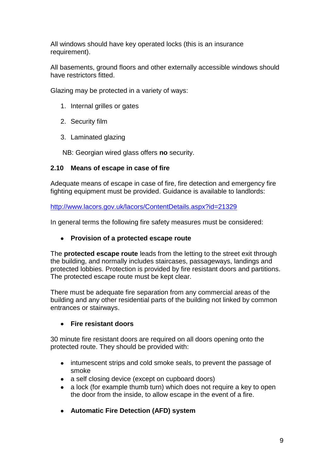All windows should have key operated locks (this is an insurance requirement).

All basements, ground floors and other externally accessible windows should have restrictors fitted.

Glazing may be protected in a variety of ways:

- 1. Internal grilles or gates
- 2. Security film
- 3. Laminated glazing

NB: Georgian wired glass offers **no** security.

# **2.10 Means of escape in case of fire**

Adequate means of escape in case of fire, fire detection and emergency fire fighting equipment must be provided. Guidance is available to landlords:

<http://www.lacors.gov.uk/lacors/ContentDetails.aspx?id=21329>

In general terms the following fire safety measures must be considered:

#### **Provision of a protected escape route**

The **protected escape route** leads from the letting to the street exit through the building, and normally includes staircases, passageways, landings and protected lobbies. Protection is provided by fire resistant doors and partitions. The protected escape route must be kept clear.

There must be adequate fire separation from any commercial areas of the building and any other residential parts of the building not linked by common entrances or stairways.

#### **Fire resistant doors**

30 minute fire resistant doors are required on all doors opening onto the protected route. They should be provided with:

- intumescent strips and cold smoke seals, to prevent the passage of smoke
- a self closing device (except on cupboard doors)  $\bullet$
- a lock (for example thumb turn) which does not require a key to open  $\bullet$ the door from the inside, to allow escape in the event of a fire.
- **Automatic Fire Detection (AFD) system**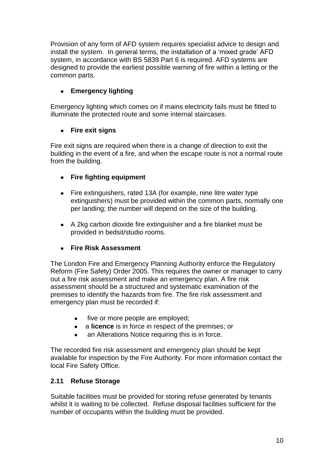Provision of any form of AFD system requires specialist advice to design and install the system. In general terms, the installation of a 'mixed grade' AFD system, in accordance with BS 5839 Part 6 is required. AFD systems are designed to provide the earliest possible warning of fire within a letting or the common parts.

# **Emergency lighting**

Emergency lighting which comes on if mains electricity fails must be fitted to illuminate the protected route and some internal staircases.

# **Fire exit signs**

Fire exit signs are required when there is a change of direction to exit the building in the event of a fire, and when the escape route is not a normal route from the building.

# **Fire fighting equipment**

- $\bullet$ Fire extinguishers, rated 13A (for example, nine litre water type extinguishers) must be provided within the common parts, normally one per landing; the number will depend on the size of the building.
- A 2kg carbon dioxide fire extinguisher and a fire blanket must be provided in bedsit/studio rooms.

# **Fire Risk Assessment**

The London Fire and Emergency Planning Authority enforce the Regulatory Reform (Fire Safety) Order 2005. This requires the owner or manager to carry out a fire risk assessment and make an emergency plan. A fire risk assessment should be a structured and systematic examination of the premises to identify the hazards from fire. The fire risk assessment and emergency plan must be recorded if:

- five or more people are employed;
- a **licence** is in force in respect of the premises; or
- an Alterations Notice requiring this is in force.

The recorded fire risk assessment and emergency plan should be kept available for inspection by the Fire Authority. For more information contact the local Fire Safety Office.

# **2.11 Refuse Storage**

Suitable facilities must be provided for storing refuse generated by tenants whilst it is waiting to be collected. Refuse disposal facilities sufficient for the number of occupants within the building must be provided.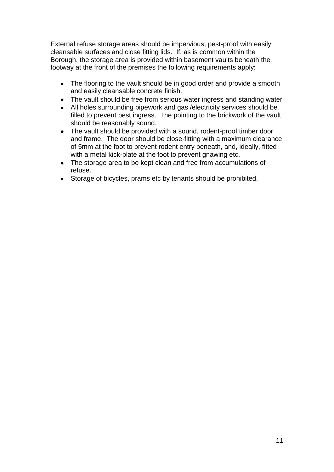External refuse storage areas should be impervious, pest-proof with easily cleansable surfaces and close fitting lids. If, as is common within the Borough, the storage area is provided within basement vaults beneath the footway at the front of the premises the following requirements apply:

- The flooring to the vault should be in good order and provide a smooth and easily cleansable concrete finish.
- The vault should be free from serious water ingress and standing water
- $\bullet$ All holes surrounding pipework and gas /electricity services should be filled to prevent pest ingress. The pointing to the brickwork of the vault should be reasonably sound.
- The vault should be provided with a sound, rodent-proof timber door and frame. The door should be close-fitting with a maximum clearance of 5mm at the foot to prevent rodent entry beneath, and, ideally, fitted with a metal kick-plate at the foot to prevent gnawing etc.
- The storage area to be kept clean and free from accumulations of refuse.
- Storage of bicycles, prams etc by tenants should be prohibited. $\bullet$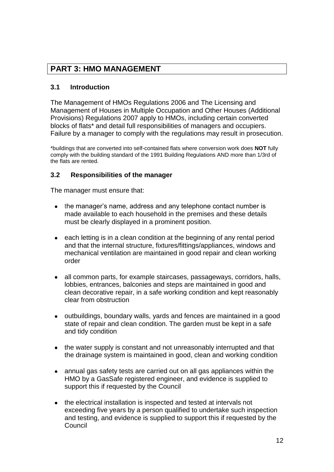# **PART 3: HMO MANAGEMENT**

# **3.1 Introduction**

The Management of HMOs Regulations 2006 and The Licensing and Management of Houses in Multiple Occupation and Other Houses (Additional Provisions) Regulations 2007 apply to HMOs, including certain converted blocks of flats\* and detail full responsibilities of managers and occupiers. Failure by a manager to comply with the regulations may result in prosecution.

\*buildings that are converted into self-contained flats where conversion work does **NOT** fully comply with the building standard of the 1991 Building Regulations AND more than 1/3rd of the flats are rented.

#### **3.2 Responsibilities of the manager**

The manager must ensure that:

- the manager's name, address and any telephone contact number is made available to each household in the premises and these details must be clearly displayed in a prominent position.
- $\bullet$ each letting is in a clean condition at the beginning of any rental period and that the internal structure, fixtures/fittings/appliances, windows and mechanical ventilation are maintained in good repair and clean working order
- all common parts, for example staircases, passageways, corridors, halls, lobbies, entrances, balconies and steps are maintained in good and clean decorative repair, in a safe working condition and kept reasonably clear from obstruction
- outbuildings, boundary walls, yards and fences are maintained in a good state of repair and clean condition. The garden must be kept in a safe and tidy condition
- the water supply is constant and not unreasonably interrupted and that the drainage system is maintained in good, clean and working condition
- annual gas safety tests are carried out on all gas appliances within the HMO by a GasSafe registered engineer, and evidence is supplied to support this if requested by the Council
- the electrical installation is inspected and tested at intervals not  $\bullet$ exceeding five years by a person qualified to undertake such inspection and testing, and evidence is supplied to support this if requested by the Council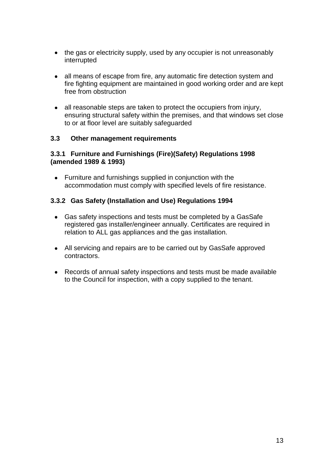- the gas or electricity supply, used by any occupier is not unreasonably interrupted
- all means of escape from fire, any automatic fire detection system and fire fighting equipment are maintained in good working order and are kept free from obstruction
- all reasonable steps are taken to protect the occupiers from injury, ensuring structural safety within the premises, and that windows set close to or at floor level are suitably safeguarded

#### **3.3 Other management requirements**

#### **3.3.1 Furniture and Furnishings (Fire)(Safety) Regulations 1998 (amended 1989 & 1993)**

Furniture and furnishings supplied in conjunction with the accommodation must comply with specified levels of fire resistance.

#### **3.3.2 Gas Safety (Installation and Use) Regulations 1994**

- Gas safety inspections and tests must be completed by a GasSafe registered gas installer/engineer annually. Certificates are required in relation to ALL gas appliances and the gas installation.
- All servicing and repairs are to be carried out by GasSafe approved contractors.
- Records of annual safety inspections and tests must be made available to the Council for inspection, with a copy supplied to the tenant.